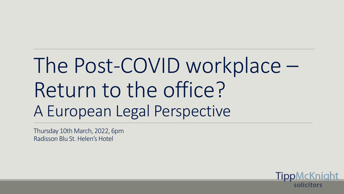# The Post-COVID workplace – Return to the office? A European Legal Perspective

TippMcKnight

solicitors

Thursday 10th March, 2022, 6pm Radisson Blu St. Helen's Hotel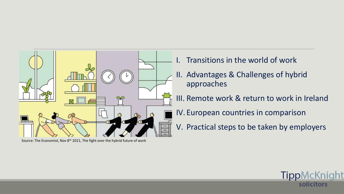

Source: The Economist, Nov 8<sup>th</sup> 2021, The fight over the hybrid future of work

- Transitions in the world of work
- II. Advantages & Challenges of hybrid approaches
- III. Remote work & return to work in Ireland
- IV. European countries in comparison
- V. Practical steps to be taken by employers

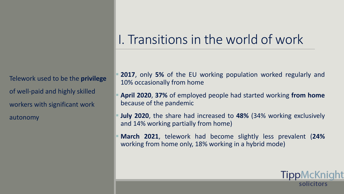Telework used to be the **privilege** of well-paid and highly skilled workers with significant work autonomy

#### I. Transitions in the world of work

- **2017**, only 5% of the EU working population worked regularly and 10% occasionally from home
- **April 2020, 37%** of employed people had started working **from home** because of the pandemic
- **July 2020**, the share had increased to **48%** (34% working exclusively and 14% working partially from home)
- **March 2021**, telework had become slightly less prevalent (24%) working from home only, 18% working in a hybrid mode)

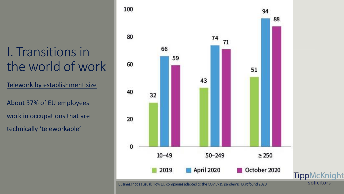### I. Transitions in the world of work

Telework by establishment size

About 37% of EU employees work in occupations that are technically 'teleworkable'



Business not as usual: How EU companies adapted to the COVID-19 pandemic, Eurofound 2020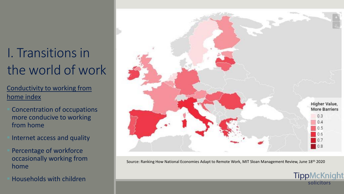### I. Transitions in the world of work

Conductivity to working from home index

- Concentration of occupations more conducive to working from home
- Internet access and quality
- Percentage of workforce occasionally working from home
- **Households with children**



Source: Ranking How National Economies Adapt to Remote Work, MIT Sloan Management Review, June 18th 2020

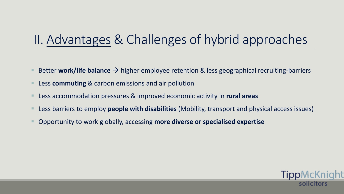#### II. Advantages & Challenges of hybrid approaches

- Better **work/life balance** → higher employee retention & less geographical recruiting-barriers
- Less **commuting** & carbon emissions and air pollution
- Less accommodation pressures & improved economic activity in **rural areas**
- Less barriers to employ **people with disabilities** (Mobility, transport and physical access issues)
- Opportunity to work globally, accessing **more diverse or specialised expertise**

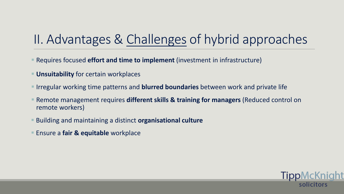#### II. Advantages & Challenges of hybrid approaches

- Requires focused **effort and time to implement** (investment in infrastructure)
- **<u>■ Unsuitability</u>** for certain workplaces
- **EXT** Irregular working time patterns and **blurred boundaries** between work and private life
- Remote management requires **different skills & training for managers** (Reduced control on remote workers)
- Building and maintaining a distinct **organisational culture**
- Ensure a **fair & equitable** workplace

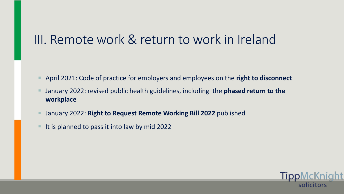- April 2021: Code of practice for employers and employees on the **right to disconnect**
- January 2022: revised public health guidelines, including the **phased return to the workplace**

<u>TippMcKni</u>

solicitors

- January 2022: **Right to Request Remote Working Bill 2022** published
- It is planned to pass it into law by mid 2022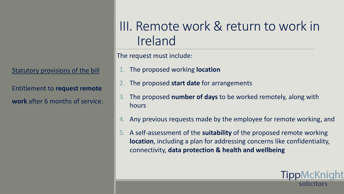Statutory provisions of the bill

Entitlement to **request remote work** after 6 months of service.

#### III. Remote work & return to work in Ireland

The request must include:

- 1. The proposed working **location**
- 2. The proposed **start date** for arrangements
- 3. The proposed **number of days** to be worked remotely, along with hours
- 4. Any previous requests made by the employee for remote working, and
- 5. A self-assessment of the **suitability** of the proposed remote working **location**, including a plan for addressing concerns like confidentiality, connectivity, **data protection & health and wellbeing**

**TippMcKr**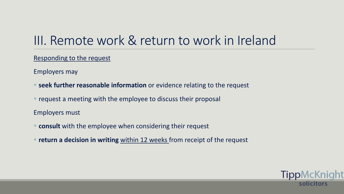Responding to the request

Employers may

- **E** seek further reasonable information or evidence relating to the request
- request a meeting with the employee to discuss their proposal

Employers must

- **consult** with the employee when considering their request
- **return a decision in writing** within 12 weeks from receipt of the request

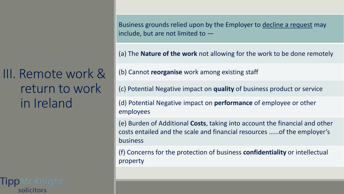solicitors

Business grounds relied upon by the Employer to decline a request may include, but are not limited to —

(a) The **Nature of the work** not allowing for the work to be done remotely

(b) Cannot **reorganise** work among existing staff

(c) Potential Negative impact on **quality** of business product or service

(d) Potential Negative impact on **performance** of employee or other employees

(e) Burden of Additional **Costs**, taking into account the financial and other costs entailed and the scale and financial resources ……of the employer's business

(f) Concerns for the protection of business **confidentiality** or intellectual property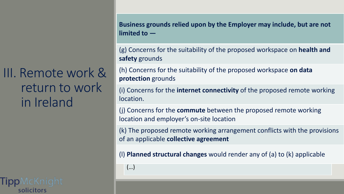solicitors

**Business grounds relied upon by the Employer may include, but are not Business grounds relied upon by the Employer may include, but are not limited to — limited to —**

Concerns for the suitability of the proposed workspace on **nearth** (g) Concerns for the suitability of the proposed workspace on **health and safety** grounds

(h) Concerns for the suitability of the proposed workspace on data **protection** grounds

(c) Potential Negative impact on quality of business product or service  $\alpha$  potential  $\alpha$  Potential Negative impact on performance or other performance or other performance or other performance or other performance or other performance or other performance or other performance or other perf (i) Concerns for the **internet connectivity** of the proposed remote working location.

(j) Concerns for the **commute** between the proposed remote working location and employer's on-site location and other financial and other financial and other financial and other

The prepared remate werking arrangement conflicts with the pro business.<br>Die business (k) The proposed remote working arrangement conflicts with the provisions of an applicable **collective agreement** 

(I) Planned structural changes would render any of (a) to (k) applicable

(…)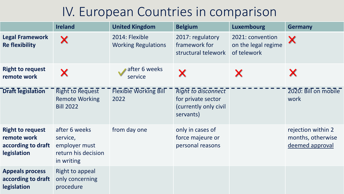#### IV. European Countries in comparison

|                                                                                    | <b>Ireland</b>                                                                  | <b>United Kingdom</b>                        | <b>Belgium</b>                                                                         | <b>Luxembourg</b>                                      | <b>Germany</b>                                             |
|------------------------------------------------------------------------------------|---------------------------------------------------------------------------------|----------------------------------------------|----------------------------------------------------------------------------------------|--------------------------------------------------------|------------------------------------------------------------|
| Legal Framework<br><b>Re flexibility</b>                                           | X                                                                               | 2014: Flexible<br><b>Working Regulations</b> | 2017: regulatory<br>framework for<br>structural telework                               | 2021: convention<br>on the legal regime<br>of telework | X                                                          |
| <b>Right to request</b><br>remote work                                             |                                                                                 | after 6 weeks<br>service                     |                                                                                        |                                                        |                                                            |
| <b>Draft legislation</b>                                                           | <b>Right to Request</b><br><b>Remote Working</b><br><b>Bill 2022</b>            | <b>Flexible Working Bill</b><br>2022         | <b>Right to disconnect</b><br>for private sector<br>(currently only civil<br>servants) |                                                        | 2020: Bill on mobile<br>work                               |
| <b>Right to request</b><br>remote work<br>according to draft<br><b>legislation</b> | after 6 weeks<br>service,<br>employer must<br>return his decision<br>in writing | from day one                                 | only in cases of<br>force majeure or<br>personal reasons                               |                                                        | rejection within 2<br>months, otherwise<br>deemed approval |
| <b>Appeals process</b><br>according to draft<br>legislation                        | Right to appeal<br>only concerning<br>procedure                                 |                                              |                                                                                        |                                                        |                                                            |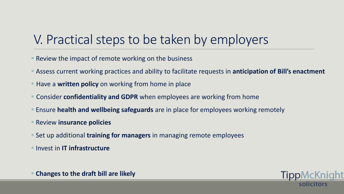#### V. Practical steps to be taken by employers

- Review the impact of remote working on the business
- Assess current working practices and ability to facilitate requests in **anticipation of Bill's enactment**
- Have a **written policy** on working from home in place
- Consider **confidentiality and GDPR** when employees are working from home
- **E** Ensure health and wellbeing safeguards are in place for employees working remotely
- Review **insurance policies**
- Set up additional **training for managers** in managing remote employees
- Invest in **IT infrastructure**



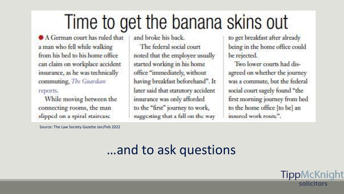## Time to get the banana skins out

A German court has ruled that a man who fell while walking from his bed to his home office can claim on workplace accident insurance, as he was technically commuting, The Guardian

#### reports.

While moving between the connecting rooms, the man slipped on a spiral staircase

Source: The Law Society Gazette Jan/Feb 2022

and broke his back.

The federal social court noted that the employee usually started working in his home office "immediately, without having breakfast beforehand". It later said that statutory accident insurance was only afforded to the "first" journey to work, suggesting that a fall on the way

to get breakfast after already being in the home office could be rejected.

Two lower courts had disagreed on whether the journey was a commute, but the federal social court sagely found "the first morning journey from bed to the home office [to be] an insured work route".

TippMcKnight

solicitors

#### …and to ask questions